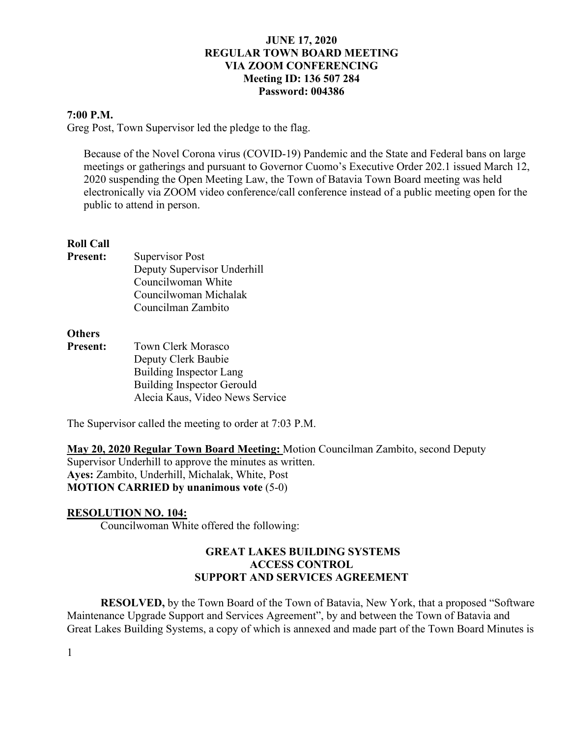#### **7:00 P.M.**

Greg Post, Town Supervisor led the pledge to the flag.

Because of the Novel Corona virus (COVID-19) Pandemic and the State and Federal bans on large meetings or gatherings and pursuant to Governor Cuomo's Executive Order 202.1 issued March 12, 2020 suspending the Open Meeting Law, the Town of Batavia Town Board meeting was held electronically via ZOOM video conference/call conference instead of a public meeting open for the public to attend in person.

#### **Roll Call**

**Present:** Supervisor Post Deputy Supervisor Underhill Councilwoman White Councilwoman Michalak Councilman Zambito

### **Others**

**Present:** Town Clerk Morasco Deputy Clerk Baubie Building Inspector Lang Building Inspector Gerould Alecia Kaus, Video News Service

The Supervisor called the meeting to order at 7:03 P.M.

**May 20, 2020 Regular Town Board Meeting:** Motion Councilman Zambito, second Deputy Supervisor Underhill to approve the minutes as written. **Ayes:** Zambito, Underhill, Michalak, White, Post **MOTION CARRIED by unanimous vote** (5-0)

#### **RESOLUTION NO. 104:**

Councilwoman White offered the following:

### **GREAT LAKES BUILDING SYSTEMS ACCESS CONTROL SUPPORT AND SERVICES AGREEMENT**

**RESOLVED,** by the Town Board of the Town of Batavia, New York, that a proposed "Software Maintenance Upgrade Support and Services Agreement", by and between the Town of Batavia and Great Lakes Building Systems, a copy of which is annexed and made part of the Town Board Minutes is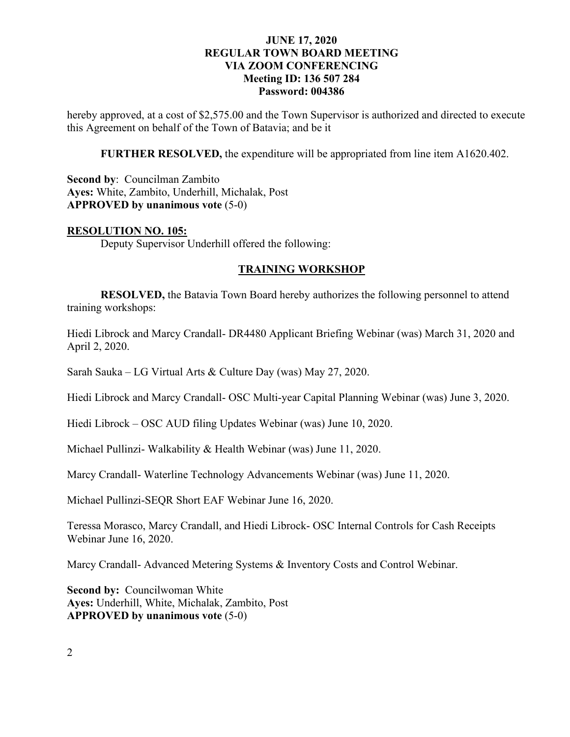hereby approved, at a cost of \$2,575.00 and the Town Supervisor is authorized and directed to execute this Agreement on behalf of the Town of Batavia; and be it

**FURTHER RESOLVED,** the expenditure will be appropriated from line item A1620.402.

**Second by**: Councilman Zambito **Ayes:** White, Zambito, Underhill, Michalak, Post **APPROVED by unanimous vote** (5-0)

#### **RESOLUTION NO. 105:**

Deputy Supervisor Underhill offered the following:

#### **TRAINING WORKSHOP**

**RESOLVED,** the Batavia Town Board hereby authorizes the following personnel to attend training workshops:

Hiedi Librock and Marcy Crandall- DR4480 Applicant Briefing Webinar (was) March 31, 2020 and April 2, 2020.

Sarah Sauka – LG Virtual Arts & Culture Day (was) May 27, 2020.

Hiedi Librock and Marcy Crandall- OSC Multi-year Capital Planning Webinar (was) June 3, 2020.

Hiedi Librock – OSC AUD filing Updates Webinar (was) June 10, 2020.

Michael Pullinzi- Walkability & Health Webinar (was) June 11, 2020.

Marcy Crandall- Waterline Technology Advancements Webinar (was) June 11, 2020.

Michael Pullinzi-SEQR Short EAF Webinar June 16, 2020.

Teressa Morasco, Marcy Crandall, and Hiedi Librock- OSC Internal Controls for Cash Receipts Webinar June 16, 2020.

Marcy Crandall- Advanced Metering Systems & Inventory Costs and Control Webinar.

**Second by: Councilwoman White Ayes:** Underhill, White, Michalak, Zambito, Post **APPROVED by unanimous vote** (5-0)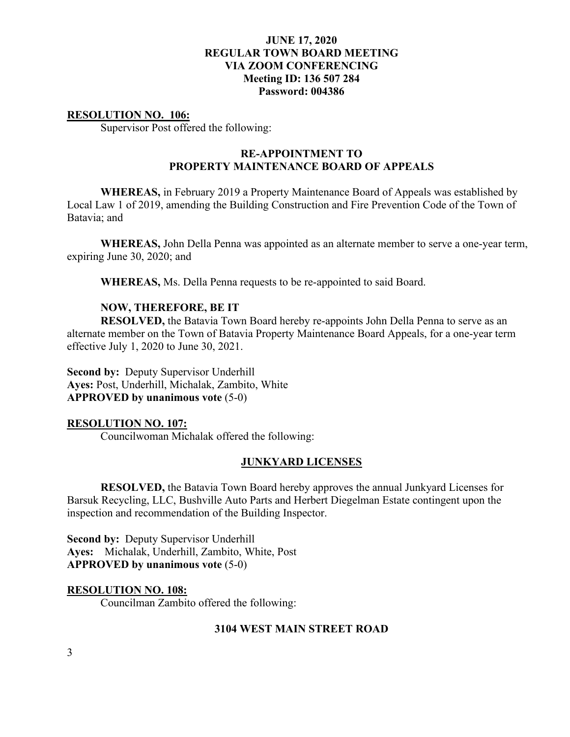#### **RESOLUTION NO. 106:**

Supervisor Post offered the following:

## **RE-APPOINTMENT TO PROPERTY MAINTENANCE BOARD OF APPEALS**

**WHEREAS,** in February 2019 a Property Maintenance Board of Appeals was established by Local Law 1 of 2019, amending the Building Construction and Fire Prevention Code of the Town of Batavia; and

**WHEREAS,** John Della Penna was appointed as an alternate member to serve a one-year term, expiring June 30, 2020; and

**WHEREAS,** Ms. Della Penna requests to be re-appointed to said Board.

#### **NOW, THEREFORE, BE IT**

**RESOLVED,** the Batavia Town Board hereby re-appoints John Della Penna to serve as an alternate member on the Town of Batavia Property Maintenance Board Appeals, for a one-year term effective July 1, 2020 to June 30, 2021.

**Second by:** Deputy Supervisor Underhill **Ayes:** Post, Underhill, Michalak, Zambito, White **APPROVED by unanimous vote** (5-0)

#### **RESOLUTION NO. 107:**

Councilwoman Michalak offered the following:

#### **JUNKYARD LICENSES**

**RESOLVED,** the Batavia Town Board hereby approves the annual Junkyard Licenses for Barsuk Recycling, LLC, Bushville Auto Parts and Herbert Diegelman Estate contingent upon the inspection and recommendation of the Building Inspector.

**Second by:** Deputy Supervisor Underhill **Ayes:** Michalak, Underhill, Zambito, White, Post **APPROVED by unanimous vote** (5-0)

#### **RESOLUTION NO. 108:**

Councilman Zambito offered the following:

#### **3104 WEST MAIN STREET ROAD**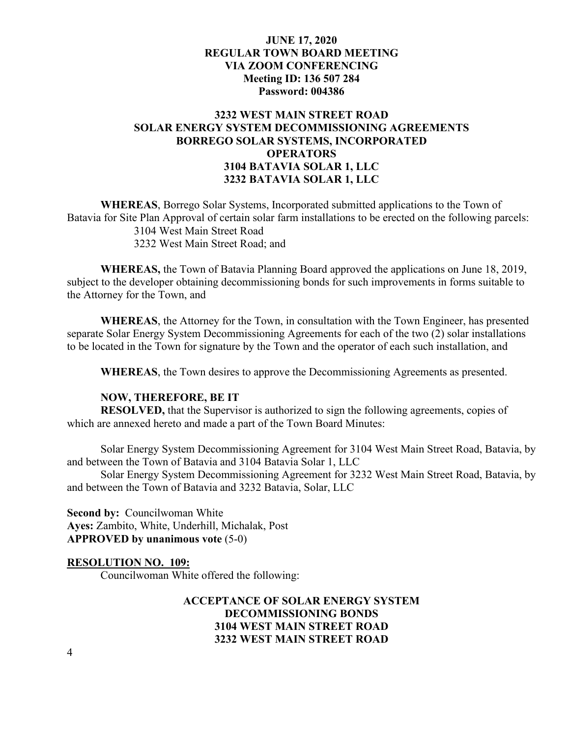## **3232 WEST MAIN STREET ROAD SOLAR ENERGY SYSTEM DECOMMISSIONING AGREEMENTS BORREGO SOLAR SYSTEMS, INCORPORATED OPERATORS 3104 BATAVIA SOLAR 1, LLC 3232 BATAVIA SOLAR 1, LLC**

**WHEREAS**, Borrego Solar Systems, Incorporated submitted applications to the Town of Batavia for Site Plan Approval of certain solar farm installations to be erected on the following parcels: 3104 West Main Street Road 3232 West Main Street Road; and

**WHEREAS,** the Town of Batavia Planning Board approved the applications on June 18, 2019, subject to the developer obtaining decommissioning bonds for such improvements in forms suitable to the Attorney for the Town, and

**WHEREAS**, the Attorney for the Town, in consultation with the Town Engineer, has presented separate Solar Energy System Decommissioning Agreements for each of the two (2) solar installations to be located in the Town for signature by the Town and the operator of each such installation, and

**WHEREAS**, the Town desires to approve the Decommissioning Agreements as presented.

#### **NOW, THEREFORE, BE IT**

**RESOLVED,** that the Supervisor is authorized to sign the following agreements, copies of which are annexed hereto and made a part of the Town Board Minutes:

Solar Energy System Decommissioning Agreement for 3104 West Main Street Road, Batavia, by and between the Town of Batavia and 3104 Batavia Solar 1, LLC

Solar Energy System Decommissioning Agreement for 3232 West Main Street Road, Batavia, by and between the Town of Batavia and 3232 Batavia, Solar, LLC

**Second by:** Councilwoman White **Ayes:** Zambito, White, Underhill, Michalak, Post **APPROVED by unanimous vote** (5-0)

#### **RESOLUTION NO. 109:**

Councilwoman White offered the following:

## **ACCEPTANCE OF SOLAR ENERGY SYSTEM DECOMMISSIONING BONDS 3104 WEST MAIN STREET ROAD 3232 WEST MAIN STREET ROAD**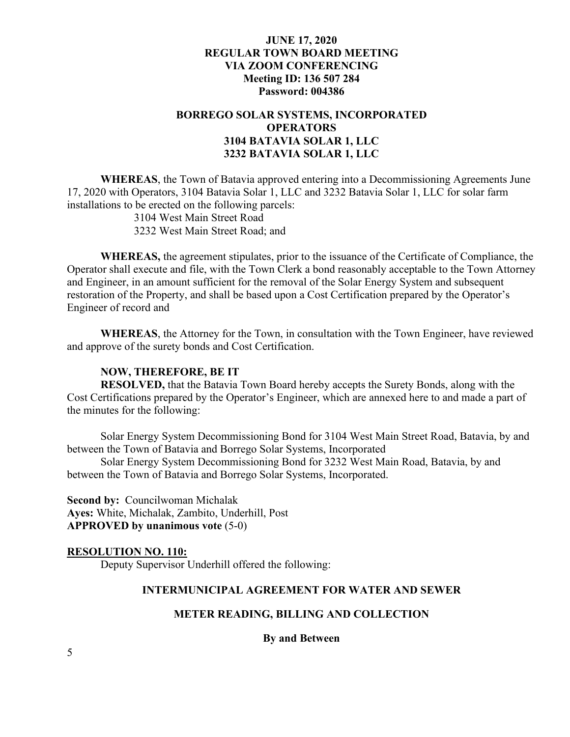## **BORREGO SOLAR SYSTEMS, INCORPORATED OPERATORS 3104 BATAVIA SOLAR 1, LLC 3232 BATAVIA SOLAR 1, LLC**

**WHEREAS**, the Town of Batavia approved entering into a Decommissioning Agreements June 17, 2020 with Operators, 3104 Batavia Solar 1, LLC and 3232 Batavia Solar 1, LLC for solar farm installations to be erected on the following parcels:

3104 West Main Street Road

3232 West Main Street Road; and

**WHEREAS,** the agreement stipulates, prior to the issuance of the Certificate of Compliance, the Operator shall execute and file, with the Town Clerk a bond reasonably acceptable to the Town Attorney and Engineer, in an amount sufficient for the removal of the Solar Energy System and subsequent restoration of the Property, and shall be based upon a Cost Certification prepared by the Operator's Engineer of record and

**WHEREAS**, the Attorney for the Town, in consultation with the Town Engineer, have reviewed and approve of the surety bonds and Cost Certification.

### **NOW, THEREFORE, BE IT**

**RESOLVED,** that the Batavia Town Board hereby accepts the Surety Bonds, along with the Cost Certifications prepared by the Operator's Engineer, which are annexed here to and made a part of the minutes for the following:

Solar Energy System Decommissioning Bond for 3104 West Main Street Road, Batavia, by and between the Town of Batavia and Borrego Solar Systems, Incorporated

Solar Energy System Decommissioning Bond for 3232 West Main Road, Batavia, by and between the Town of Batavia and Borrego Solar Systems, Incorporated.

**Second by:** Councilwoman Michalak **Ayes:** White, Michalak, Zambito, Underhill, Post **APPROVED by unanimous vote** (5-0)

#### **RESOLUTION NO. 110:**

Deputy Supervisor Underhill offered the following:

## **INTERMUNICIPAL AGREEMENT FOR WATER AND SEWER**

### **METER READING, BILLING AND COLLECTION**

**By and Between**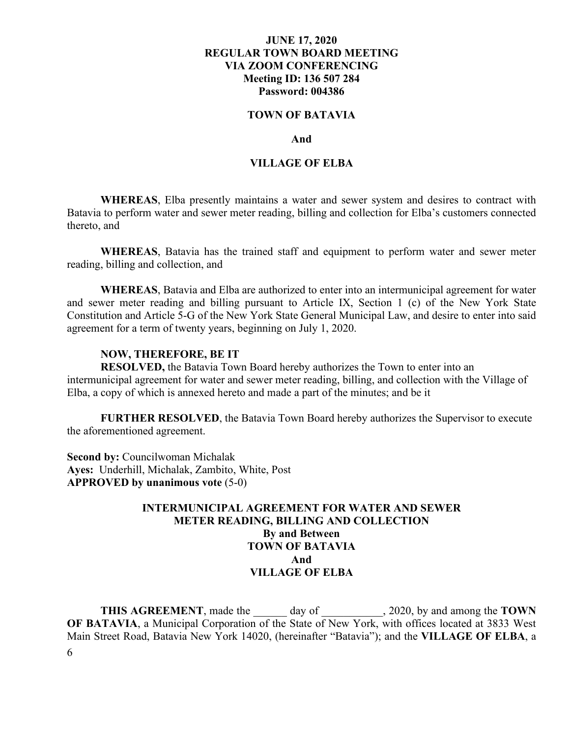#### **TOWN OF BATAVIA**

#### **And**

#### **VILLAGE OF ELBA**

**WHEREAS**, Elba presently maintains a water and sewer system and desires to contract with Batavia to perform water and sewer meter reading, billing and collection for Elba's customers connected thereto, and

**WHEREAS**, Batavia has the trained staff and equipment to perform water and sewer meter reading, billing and collection, and

**WHEREAS**, Batavia and Elba are authorized to enter into an intermunicipal agreement for water and sewer meter reading and billing pursuant to Article IX, Section 1 (c) of the New York State Constitution and Article 5-G of the New York State General Municipal Law, and desire to enter into said agreement for a term of twenty years, beginning on July 1, 2020.

#### **NOW, THEREFORE, BE IT**

**RESOLVED,** the Batavia Town Board hereby authorizes the Town to enter into an intermunicipal agreement for water and sewer meter reading, billing, and collection with the Village of Elba, a copy of which is annexed hereto and made a part of the minutes; and be it

**FURTHER RESOLVED**, the Batavia Town Board hereby authorizes the Supervisor to execute the aforementioned agreement.

**Second by:** Councilwoman Michalak **Ayes:** Underhill, Michalak, Zambito, White, Post **APPROVED by unanimous vote** (5-0)

## **INTERMUNICIPAL AGREEMENT FOR WATER AND SEWER METER READING, BILLING AND COLLECTION By and Between TOWN OF BATAVIA And VILLAGE OF ELBA**

6 **THIS AGREEMENT**, made the day of 3020, by and among the **TOWN OF BATAVIA**, a Municipal Corporation of the State of New York, with offices located at 3833 West Main Street Road, Batavia New York 14020, (hereinafter "Batavia"); and the **VILLAGE OF ELBA**, a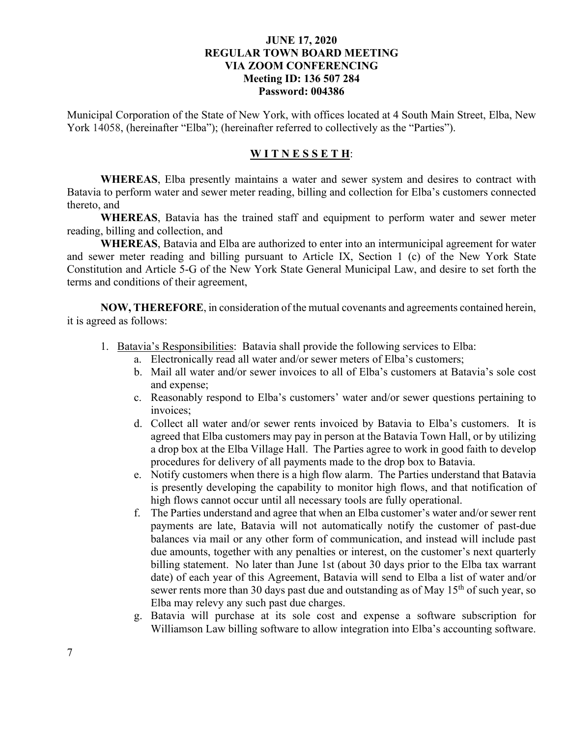Municipal Corporation of the State of New York, with offices located at 4 South Main Street, Elba, New York 14058, (hereinafter "Elba"); (hereinafter referred to collectively as the "Parties").

### **W I T N E S S E T H**:

**WHEREAS**, Elba presently maintains a water and sewer system and desires to contract with Batavia to perform water and sewer meter reading, billing and collection for Elba's customers connected thereto, and

**WHEREAS**, Batavia has the trained staff and equipment to perform water and sewer meter reading, billing and collection, and

**WHEREAS**, Batavia and Elba are authorized to enter into an intermunicipal agreement for water and sewer meter reading and billing pursuant to Article IX, Section 1 (c) of the New York State Constitution and Article 5-G of the New York State General Municipal Law, and desire to set forth the terms and conditions of their agreement,

**NOW, THEREFORE**, in consideration of the mutual covenants and agreements contained herein, it is agreed as follows:

- 1. Batavia's Responsibilities: Batavia shall provide the following services to Elba:
	- a. Electronically read all water and/or sewer meters of Elba's customers;
	- b. Mail all water and/or sewer invoices to all of Elba's customers at Batavia's sole cost and expense;
	- c. Reasonably respond to Elba's customers' water and/or sewer questions pertaining to invoices;
	- d. Collect all water and/or sewer rents invoiced by Batavia to Elba's customers. It is agreed that Elba customers may pay in person at the Batavia Town Hall, or by utilizing a drop box at the Elba Village Hall. The Parties agree to work in good faith to develop procedures for delivery of all payments made to the drop box to Batavia.
	- e. Notify customers when there is a high flow alarm. The Parties understand that Batavia is presently developing the capability to monitor high flows, and that notification of high flows cannot occur until all necessary tools are fully operational.
	- f. The Parties understand and agree that when an Elba customer's water and/or sewer rent payments are late, Batavia will not automatically notify the customer of past-due balances via mail or any other form of communication, and instead will include past due amounts, together with any penalties or interest, on the customer's next quarterly billing statement. No later than June 1st (about 30 days prior to the Elba tax warrant date) of each year of this Agreement, Batavia will send to Elba a list of water and/or sewer rents more than 30 days past due and outstanding as of May 15<sup>th</sup> of such year, so Elba may relevy any such past due charges.
	- g. Batavia will purchase at its sole cost and expense a software subscription for Williamson Law billing software to allow integration into Elba's accounting software.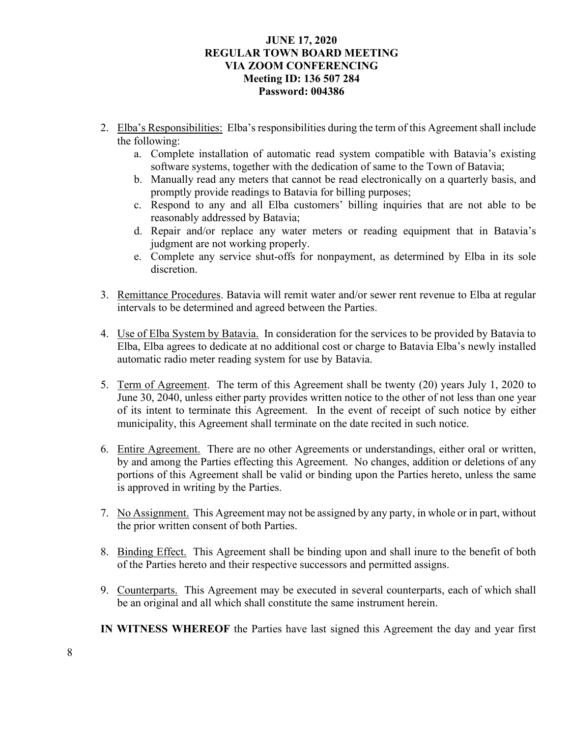- 2. Elba's Responsibilities: Elba's responsibilities during the term of this Agreement shall include the following:
	- a. Complete installation of automatic read system compatible with Batavia's existing software systems, together with the dedication of same to the Town of Batavia;
	- b. Manually read any meters that cannot be read electronically on a quarterly basis, and promptly provide readings to Batavia for billing purposes;
	- c. Respond to any and all Elba customers' billing inquiries that are not able to be reasonably addressed by Batavia;
	- d. Repair and/or replace any water meters or reading equipment that in Batavia's judgment are not working properly.
	- e. Complete any service shut-offs for nonpayment, as determined by Elba in its sole discretion.
- 3. Remittance Procedures. Batavia will remit water and/or sewer rent revenue to Elba at regular intervals to be determined and agreed between the Parties.
- 4. Use of Elba System by Batavia. In consideration for the services to be provided by Batavia to Elba, Elba agrees to dedicate at no additional cost or charge to Batavia Elba's newly installed automatic radio meter reading system for use by Batavia.
- 5. Term of Agreement. The term of this Agreement shall be twenty (20) years July 1, 2020 to June 30, 2040, unless either party provides written notice to the other of not less than one year of its intent to terminate this Agreement. In the event of receipt of such notice by either municipality, this Agreement shall terminate on the date recited in such notice.
- 6. Entire Agreement. There are no other Agreements or understandings, either oral or written, by and among the Parties effecting this Agreement. No changes, addition or deletions of any portions of this Agreement shall be valid or binding upon the Parties hereto, unless the same is approved in writing by the Parties.
- 7. No Assignment. This Agreement may not be assigned by any party, in whole or in part, without the prior written consent of both Parties.
- 8. Binding Effect. This Agreement shall be binding upon and shall inure to the benefit of both of the Parties hereto and their respective successors and permitted assigns.
- 9. Counterparts. This Agreement may be executed in several counterparts, each of which shall be an original and all which shall constitute the same instrument herein.
- **IN WITNESS WHEREOF** the Parties have last signed this Agreement the day and year first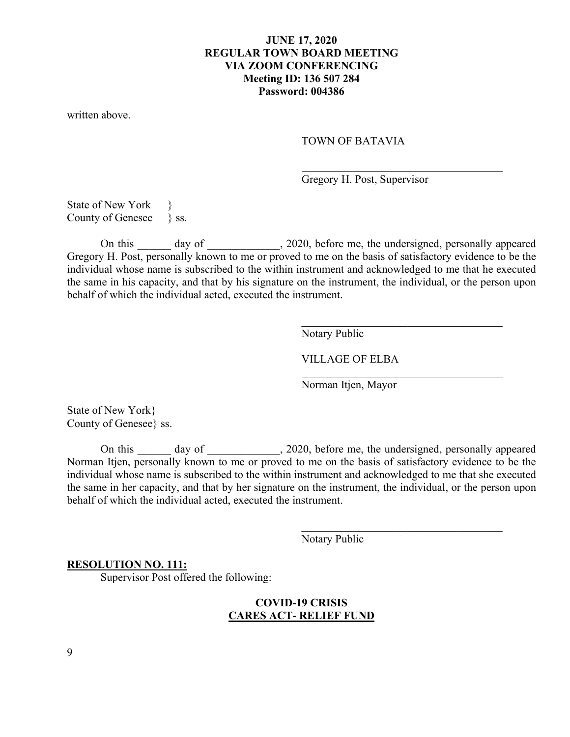written above.

#### TOWN OF BATAVIA

Gregory H. Post, Supervisor

State of New York County of Genesee \ ss.

On this day of 3020, before me, the undersigned, personally appeared Gregory H. Post, personally known to me or proved to me on the basis of satisfactory evidence to be the individual whose name is subscribed to the within instrument and acknowledged to me that he executed the same in his capacity, and that by his signature on the instrument, the individual, or the person upon behalf of which the individual acted, executed the instrument.

Notary Public

VILLAGE OF ELBA

Norman Itjen, Mayor

State of New York} County of Genesee} ss.

On this \_\_\_\_\_\_ day of \_\_\_\_\_\_\_\_\_\_\_, 2020, before me, the undersigned, personally appeared Norman Itjen, personally known to me or proved to me on the basis of satisfactory evidence to be the individual whose name is subscribed to the within instrument and acknowledged to me that she executed the same in her capacity, and that by her signature on the instrument, the individual, or the person upon behalf of which the individual acted, executed the instrument.

Notary Public

 $\overline{\phantom{a}}$ 

#### **RESOLUTION NO. 111:**

Supervisor Post offered the following:

## **COVID-19 CRISIS CARES ACT- RELIEF FUND**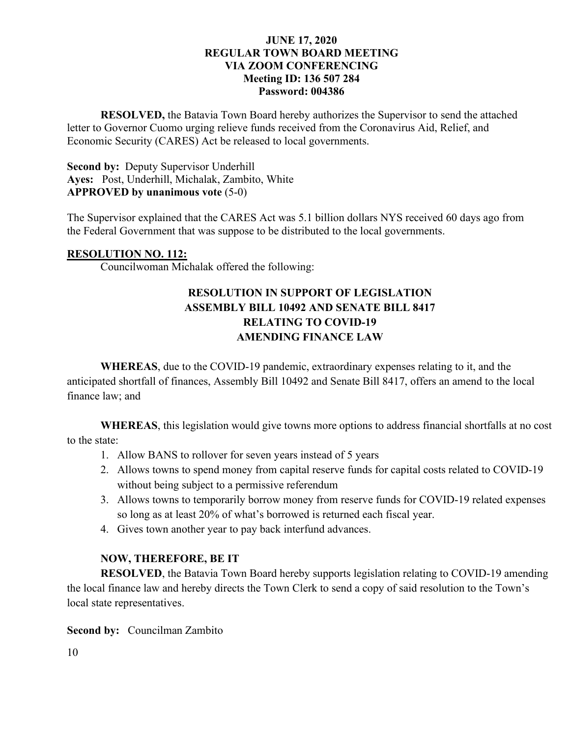**RESOLVED,** the Batavia Town Board hereby authorizes the Supervisor to send the attached letter to Governor Cuomo urging relieve funds received from the Coronavirus Aid, Relief, and Economic Security (CARES) Act be released to local governments.

## **Second by:** Deputy Supervisor Underhill **Ayes:** Post, Underhill, Michalak, Zambito, White **APPROVED by unanimous vote** (5-0)

The Supervisor explained that the CARES Act was 5.1 billion dollars NYS received 60 days ago from the Federal Government that was suppose to be distributed to the local governments.

## **RESOLUTION NO. 112:**

Councilwoman Michalak offered the following:

# **RESOLUTION IN SUPPORT OF LEGISLATION ASSEMBLY BILL 10492 AND SENATE BILL 8417 RELATING TO COVID-19 AMENDING FINANCE LAW**

**WHEREAS**, due to the COVID-19 pandemic, extraordinary expenses relating to it, and the anticipated shortfall of finances, Assembly Bill 10492 and Senate Bill 8417, offers an amend to the local finance law; and

**WHEREAS**, this legislation would give towns more options to address financial shortfalls at no cost to the state:

- 1. Allow BANS to rollover for seven years instead of 5 years
- 2. Allows towns to spend money from capital reserve funds for capital costs related to COVID-19 without being subject to a permissive referendum
- 3. Allows towns to temporarily borrow money from reserve funds for COVID-19 related expenses so long as at least 20% of what's borrowed is returned each fiscal year.
- 4. Gives town another year to pay back interfund advances.

## **NOW, THEREFORE, BE IT**

**RESOLVED**, the Batavia Town Board hereby supports legislation relating to COVID-19 amending the local finance law and hereby directs the Town Clerk to send a copy of said resolution to the Town's local state representatives.

**Second by:** Councilman Zambito

10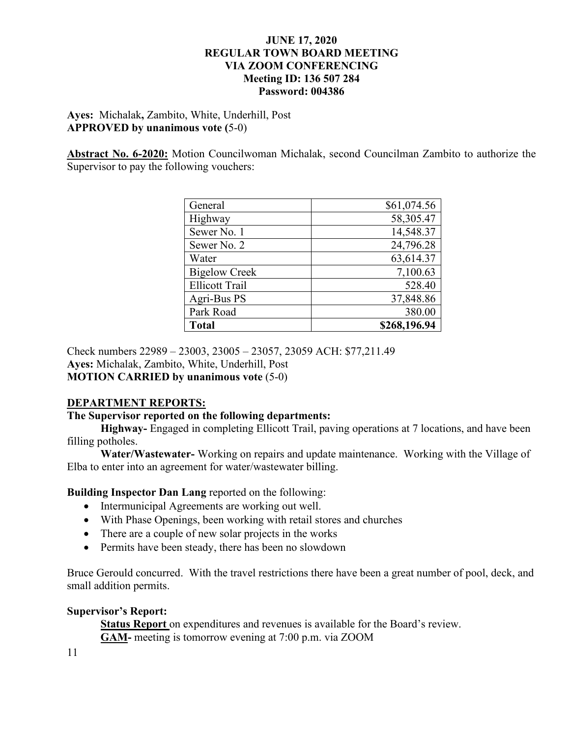## **Ayes:** Michalak**,** Zambito, White, Underhill, Post **APPROVED by unanimous vote (**5-0)

**Abstract No. 6-2020:** Motion Councilwoman Michalak, second Councilman Zambito to authorize the Supervisor to pay the following vouchers:

| General               | \$61,074.56  |
|-----------------------|--------------|
| Highway               | 58,305.47    |
| Sewer No. 1           | 14,548.37    |
| Sewer No. 2           | 24,796.28    |
| Water                 | 63,614.37    |
| <b>Bigelow Creek</b>  | 7,100.63     |
| <b>Ellicott Trail</b> | 528.40       |
| Agri-Bus PS           | 37,848.86    |
| Park Road             | 380.00       |
| <b>Total</b>          | \$268,196.94 |

Check numbers 22989 – 23003, 23005 – 23057, 23059 ACH: \$77,211.49 **Ayes:** Michalak, Zambito, White, Underhill, Post **MOTION CARRIED by unanimous vote** (5-0)

# **DEPARTMENT REPORTS:**

### **The Supervisor reported on the following departments:**

**Highway-** Engaged in completing Ellicott Trail, paving operations at 7 locations, and have been filling potholes.

**Water/Wastewater-** Working on repairs and update maintenance. Working with the Village of Elba to enter into an agreement for water/wastewater billing.

## **Building Inspector Dan Lang** reported on the following:

- Intermunicipal Agreements are working out well.
- With Phase Openings, been working with retail stores and churches
- There are a couple of new solar projects in the works
- Permits have been steady, there has been no slowdown

Bruce Gerould concurred. With the travel restrictions there have been a great number of pool, deck, and small addition permits.

## **Supervisor's Report:**

**Status Report** on expenditures and revenues is available for the Board's review. **GAM-** meeting is tomorrow evening at 7:00 p.m. via ZOOM

11